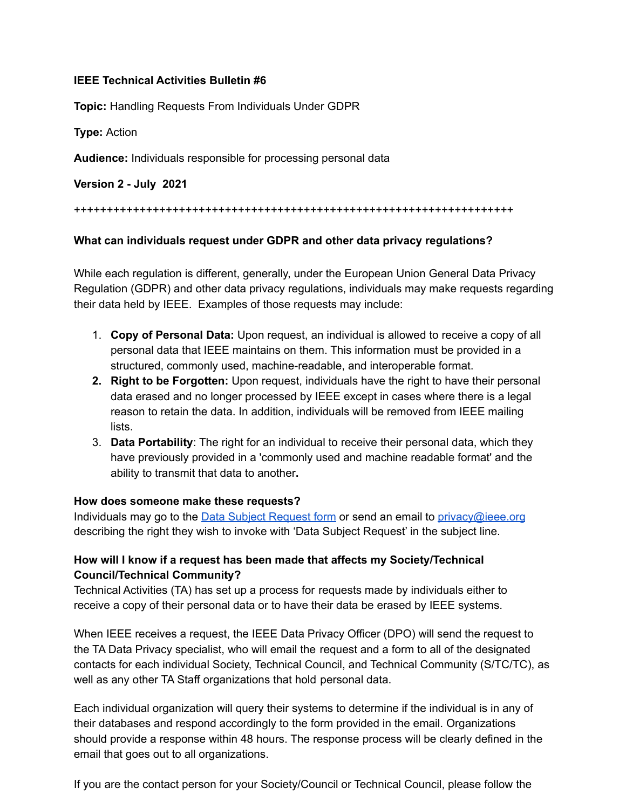## **IEEE Technical Activities Bulletin #6**

**Topic:** Handling Requests From Individuals Under GDPR

**Type:** Action

**Audience:** Individuals responsible for processing personal data

**Version 2 - July 2021**

#### +++++++++++++++++++++++++++++++++++++++++++++++++++++++++++++++++++

## **What can individuals request under GDPR and other data privacy regulations?**

While each regulation is different, generally, under the European Union General Data Privacy Regulation (GDPR) and other data privacy regulations, individuals may make requests regarding their data held by IEEE. Examples of those requests may include:

- 1. **Copy of Personal Data:** Upon request, an individual is allowed to receive a copy of all personal data that IEEE maintains on them. This information must be provided in a structured, commonly used, machine-readable, and interoperable format.
- **2. Right to be Forgotten:** Upon request, individuals have the right to have their personal data erased and no longer processed by IEEE except in cases where there is a legal reason to retain the data. In addition, individuals will be removed from IEEE mailing **lists**
- 3. **Data Portability**: The right for an individual to receive their personal data, which they have previously provided in a 'commonly used and machine readable format' and the ability to transmit that data to another**.**

#### **How does someone make these requests?**

Individuals may go to the [Data Subject Request form](https://www.ieee.org/data-subject-request.html) or send an email to [privacy@ieee.org](mailto:privacy@ieee.org) describing the right they wish to invoke with 'Data Subject Request' in the subject line.

# **How will I know if a request has been made that affects my Society/Technical Council/Technical Community?**

Technical Activities (TA) has set up a process for requests made by individuals either to receive a copy of their personal data or to have their data be erased by IEEE systems.

When IEEE receives a request, the IEEE Data Privacy Officer (DPO) will send the request to the TA Data Privacy specialist, who will email the request and a form to all of the designated contacts for each individual Society, Technical Council, and Technical Community (S/TC/TC), as well as any other TA Staff organizations that hold personal data.

Each individual organization will query their systems to determine if the individual is in any of their databases and respond accordingly to the form provided in the email. Organizations should provide a response within 48 hours. The response process will be clearly defined in the email that goes out to all organizations.

If you are the contact person for your Society/Council or Technical Council, please follow the